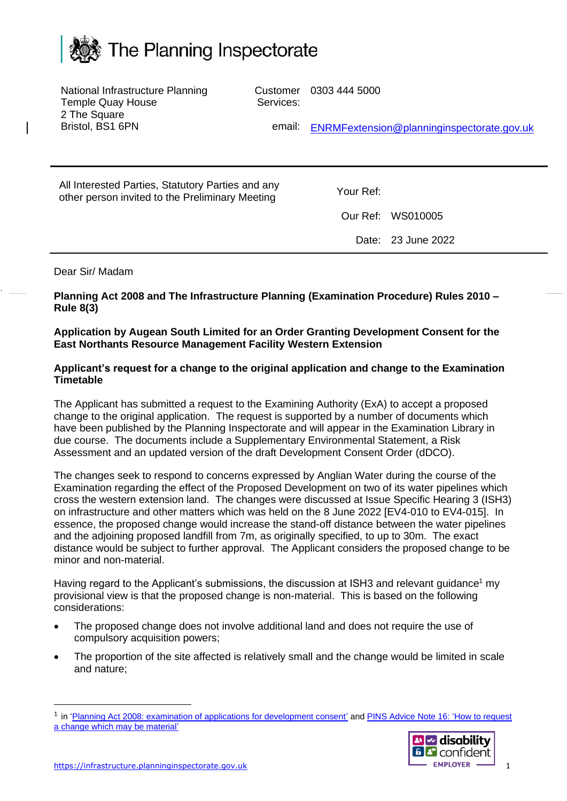

| National Infrastructure Planning<br><b>Temple Quay House</b>                                         | Customer<br>Services: | 0303 444 5000 |                                            |
|------------------------------------------------------------------------------------------------------|-----------------------|---------------|--------------------------------------------|
| 2 The Square<br>Bristol, BS1 6PN                                                                     | email:                |               | ENRMFextension@planninginspectorate.gov.uk |
|                                                                                                      |                       |               |                                            |
| All Interested Parties, Statutory Parties and any<br>other person invited to the Preliminary Meeting |                       | Your Ref:     |                                            |
|                                                                                                      |                       | Our Ref:      | WS010005                                   |
|                                                                                                      |                       |               | Date: 23 June 2022                         |
|                                                                                                      |                       |               |                                            |

## Dear Sir/ Madam

**Planning Act 2008 and The Infrastructure Planning (Examination Procedure) Rules 2010 – Rule 8(3)**

## **Application by Augean South Limited for an Order Granting Development Consent for the East Northants Resource Management Facility Western Extension**

## **Applicant's request for a change to the original application and change to the Examination Timetable**

The Applicant has submitted a request to the Examining Authority (ExA) to accept a proposed change to the original application. The request is supported by a number of documents which have been published by the Planning Inspectorate and will appear in the Examination Library in due course. The documents include a Supplementary Environmental Statement, a Risk Assessment and an updated version of the draft Development Consent Order (dDCO).

The changes seek to respond to concerns expressed by Anglian Water during the course of the Examination regarding the effect of the Proposed Development on two of its water pipelines which cross the western extension land. The changes were discussed at Issue Specific Hearing 3 (ISH3) on infrastructure and other matters which was held on the 8 June 2022 [EV4-010 to EV4-015]. In essence, the proposed change would increase the stand-off distance between the water pipelines and the adjoining proposed landfill from 7m, as originally specified, to up to 30m. The exact distance would be subject to further approval. The Applicant considers the proposed change to be minor and non-material.

Having regard to the Applicant's submissions, the discussion at ISH3 and relevant guidance<sup>1</sup> my provisional view is that the proposed change is non-material. This is based on the following considerations:

- The proposed change does not involve additional land and does not require the use of compulsory acquisition powers;
- The proportion of the site affected is relatively small and the change would be limited in scale and nature;

<sup>&</sup>lt;sup>1</sup> in ['Planning Act 2008: examination of applications for development consent'](https://www.gov.uk/government/publications/planning-act-2008-examination-of-applications-for-development-consent) and PINS Advice Note 16: 'How to request [a change which may be material'](https://infrastructure.planninginspectorate.gov.uk/legislation-and-advice/advice-notes/advice-note-16/)